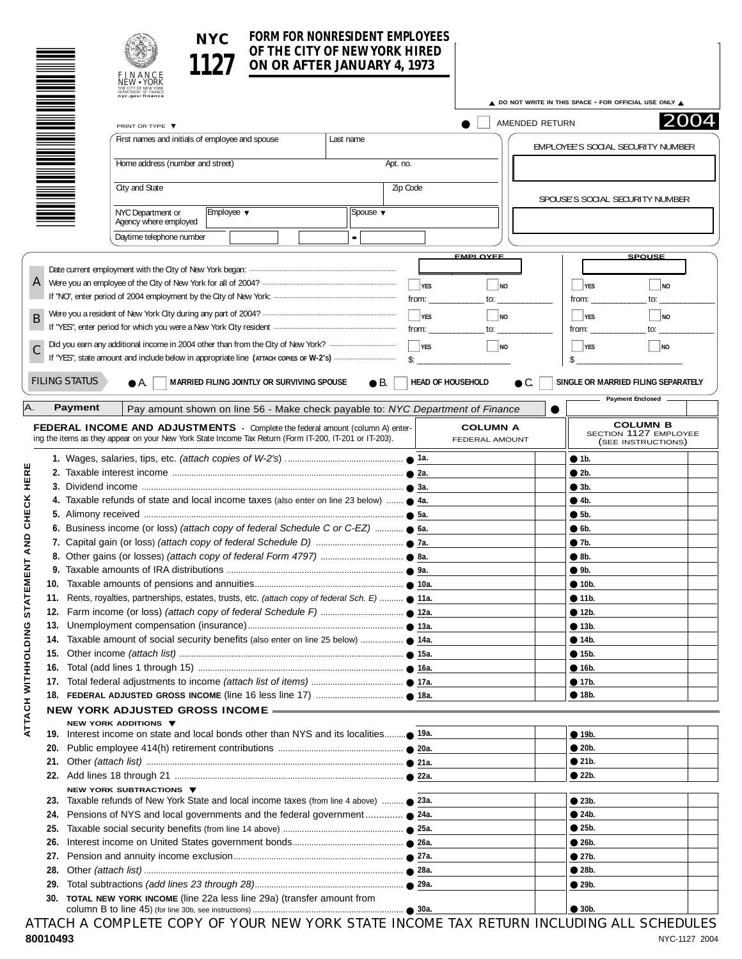| NYC. | <b>FORM FOR NONRESIDENT EMPLOYEES</b><br>OF THE CITY OF NEW YORK HIRED<br>ON OR AFTER JANUARY 4, 1973 |  |
|------|-------------------------------------------------------------------------------------------------------|--|
|      |                                                                                                       |  |

|                                                                                         |                                                                                                                                                                                          | ON OR AFTER JANUARY 4, 1973                                                    |  |                             | OF THE CITY OF NEW YORK HIRED  |                                   |                                                        |                                                                |
|-----------------------------------------------------------------------------------------|------------------------------------------------------------------------------------------------------------------------------------------------------------------------------------------|--------------------------------------------------------------------------------|--|-----------------------------|--------------------------------|-----------------------------------|--------------------------------------------------------|----------------------------------------------------------------|
|                                                                                         | FINANCE<br>NEW • YORK                                                                                                                                                                    |                                                                                |  |                             |                                |                                   |                                                        |                                                                |
|                                                                                         | THE CITY OF NEW YORK<br>DEPARTMENT OF FINANCE<br>nyc.gov/finance                                                                                                                         |                                                                                |  |                             |                                |                                   | A DO NOT WRITE IN THIS SPACE - FOR OFFICIAL USE ONLY A |                                                                |
|                                                                                         | PRINT OR TYPE ▼                                                                                                                                                                          |                                                                                |  |                             |                                |                                   | AMENDED RETURN                                         | 2004                                                           |
|                                                                                         | First names and initials of employee and spouse                                                                                                                                          |                                                                                |  | Last name                   |                                |                                   |                                                        |                                                                |
|                                                                                         |                                                                                                                                                                                          |                                                                                |  |                             |                                |                                   |                                                        | EMPLOYEE'S SOCIAL SECURITY NUMBER                              |
|                                                                                         | Home address (number and street)                                                                                                                                                         |                                                                                |  |                             | Apt. no.                       |                                   |                                                        |                                                                |
|                                                                                         | City and State                                                                                                                                                                           |                                                                                |  |                             | Zip Code                       |                                   |                                                        |                                                                |
|                                                                                         | NYC Department or                                                                                                                                                                        | Employee ▼                                                                     |  | Spouse $\blacktriangledown$ |                                |                                   |                                                        | SPOUSE'S SOCIAL SECURITY NUMBER                                |
|                                                                                         | Agency where employed                                                                                                                                                                    |                                                                                |  |                             |                                |                                   |                                                        |                                                                |
|                                                                                         | Daytime telephone number                                                                                                                                                                 |                                                                                |  |                             |                                |                                   |                                                        |                                                                |
|                                                                                         |                                                                                                                                                                                          |                                                                                |  |                             |                                | <b>EMPLOYEE</b>                   |                                                        | <b>SPOUSE</b>                                                  |
| A                                                                                       |                                                                                                                                                                                          |                                                                                |  |                             |                                |                                   |                                                        |                                                                |
|                                                                                         |                                                                                                                                                                                          |                                                                                |  |                             | $\Box$ YES                     | $\blacksquare$ NO                 | $\vert \ \vert_{\text{YES}}$                           | $\Box$ NO<br>to:                                               |
|                                                                                         |                                                                                                                                                                                          |                                                                                |  |                             | from: $\overline{\phantom{a}}$ | to:                               | from:                                                  |                                                                |
| В                                                                                       |                                                                                                                                                                                          |                                                                                |  |                             | $\Box$ YES<br>from:            | l I no<br>to:                     | ∣ ⊥res<br>from:                                        | ∣ ⊥ NO<br>to:                                                  |
|                                                                                         |                                                                                                                                                                                          |                                                                                |  |                             | $\Box$ YES                     | $\Box$ NO                         | $\Box$ YES                                             | NQ                                                             |
|                                                                                         |                                                                                                                                                                                          |                                                                                |  |                             | $\mathsf{\$}$ :                |                                   | \$                                                     |                                                                |
|                                                                                         |                                                                                                                                                                                          |                                                                                |  |                             |                                |                                   |                                                        |                                                                |
| <b>FILING STATUS</b>                                                                    | ● A.                                                                                                                                                                                     | MARRIED FILING JOINTLY OR SURVIVING SPOUSE                                     |  | $\bullet$ B.                |                                | <b>HEAD OF HOUSEHOLD</b>          | $\bullet$ C.                                           | SINGLE OR MARRIED FILING SEPARATELY                            |
| <b>Payment</b>                                                                          |                                                                                                                                                                                          |                                                                                |  |                             |                                |                                   |                                                        | <b>Payment Enclosed</b>                                        |
|                                                                                         |                                                                                                                                                                                          | Pay amount shown on line 56 - Make check payable to: NYC Department of Finance |  |                             |                                |                                   |                                                        |                                                                |
|                                                                                         | FEDERAL INCOME AND ADJUSTMENTS - Complete the federal amount (column A) enter-<br>ing the items as they appear on your New York State Income Tax Return (Form IT-200, IT-201 or IT-203). |                                                                                |  |                             |                                | <b>COLUMN A</b><br>FEDERAL AMOUNT |                                                        | <b>COLUMN B</b><br>SECTION 1127 EMPLOYEE<br>(SEE INSTRUCTIONS) |
|                                                                                         |                                                                                                                                                                                          |                                                                                |  |                             |                                |                                   | • 1b.                                                  |                                                                |
|                                                                                         |                                                                                                                                                                                          |                                                                                |  |                             |                                |                                   | $\bullet$ 2b.                                          |                                                                |
|                                                                                         |                                                                                                                                                                                          |                                                                                |  |                             |                                |                                   | $\bullet$ 3b.                                          |                                                                |
| 4. Taxable refunds of state and local income taxes (also enter on line 23 below)  • 4a. |                                                                                                                                                                                          |                                                                                |  |                             |                                |                                   | • 4b.                                                  |                                                                |
|                                                                                         |                                                                                                                                                                                          |                                                                                |  |                             |                                | •5b.                              |                                                        |                                                                |
| 6. Business income (or loss) (attach copy of federal Schedule C or C-EZ) $\bullet$ 6a.  |                                                                                                                                                                                          |                                                                                |  |                             |                                | $\bullet$ 6b.                     |                                                        |                                                                |
|                                                                                         |                                                                                                                                                                                          |                                                                                |  |                             |                                |                                   | •7b.                                                   |                                                                |
|                                                                                         |                                                                                                                                                                                          |                                                                                |  |                             |                                |                                   | $\bullet$ 8b.                                          |                                                                |
|                                                                                         |                                                                                                                                                                                          |                                                                                |  |                             |                                |                                   | 9b.                                                    |                                                                |
|                                                                                         |                                                                                                                                                                                          |                                                                                |  |                             |                                |                                   | • 10b.                                                 |                                                                |
|                                                                                         | 11. Rents, royalties, partnerships, estates, trusts, etc. (attach copy of federal Sch. E)  11a.                                                                                          |                                                                                |  |                             |                                |                                   | $\bullet$ 11b.<br>• 12b.                               |                                                                |
|                                                                                         |                                                                                                                                                                                          |                                                                                |  |                             |                                |                                   | • 13b.                                                 |                                                                |
|                                                                                         |                                                                                                                                                                                          |                                                                                |  |                             |                                |                                   | • 14b.                                                 |                                                                |
|                                                                                         |                                                                                                                                                                                          |                                                                                |  |                             |                                |                                   | • 15b.                                                 |                                                                |
|                                                                                         |                                                                                                                                                                                          |                                                                                |  |                             |                                |                                   | • 16b.                                                 |                                                                |
|                                                                                         |                                                                                                                                                                                          |                                                                                |  |                             |                                |                                   | • 17b.                                                 |                                                                |
|                                                                                         |                                                                                                                                                                                          |                                                                                |  |                             |                                |                                   | • 18b.                                                 |                                                                |
|                                                                                         | NEW YORK ADJUSTED GROSS INCOME -                                                                                                                                                         |                                                                                |  |                             |                                |                                   |                                                        |                                                                |
|                                                                                         | NEW YORK ADDITIONS ▼                                                                                                                                                                     |                                                                                |  |                             |                                |                                   |                                                        |                                                                |
|                                                                                         |                                                                                                                                                                                          |                                                                                |  |                             |                                |                                   | • 19b.<br>• 20b.                                       |                                                                |
|                                                                                         |                                                                                                                                                                                          |                                                                                |  |                             |                                |                                   | • 21b.                                                 |                                                                |
|                                                                                         |                                                                                                                                                                                          |                                                                                |  |                             |                                |                                   | • 22b.                                                 |                                                                |
|                                                                                         | NEW YORK SUBTRACTIONS ▼                                                                                                                                                                  |                                                                                |  |                             |                                |                                   |                                                        |                                                                |
|                                                                                         | 23. Taxable refunds of New York State and local income taxes (from line 4 above)  • 23a.                                                                                                 |                                                                                |  |                             |                                |                                   | • 23b.                                                 |                                                                |
| 24.                                                                                     | Pensions of NYS and local governments and the federal government ● 24a.                                                                                                                  |                                                                                |  |                             |                                |                                   | • 24b.                                                 |                                                                |
| 25.                                                                                     |                                                                                                                                                                                          |                                                                                |  |                             |                                |                                   | • 25b.                                                 |                                                                |
| 26.                                                                                     |                                                                                                                                                                                          |                                                                                |  |                             |                                |                                   | • 26b.                                                 |                                                                |
| 27.                                                                                     |                                                                                                                                                                                          |                                                                                |  |                             |                                |                                   | •27b.                                                  |                                                                |
| 28.                                                                                     |                                                                                                                                                                                          |                                                                                |  |                             |                                |                                   | • 28b.                                                 |                                                                |
|                                                                                         |                                                                                                                                                                                          |                                                                                |  |                             |                                |                                   |                                                        |                                                                |
|                                                                                         | 30. TOTAL NEW YORK INCOME (line 22a less line 29a) (transfer amount from                                                                                                                 |                                                                                |  |                             |                                |                                   | • 29b.                                                 |                                                                |

ATTACH A COMPLETE COPY OF YOUR NEW YORK STATE INCOME TAX RETURN INCLUDING ALL SCHEDULES **80010493** NYC-1127 2004